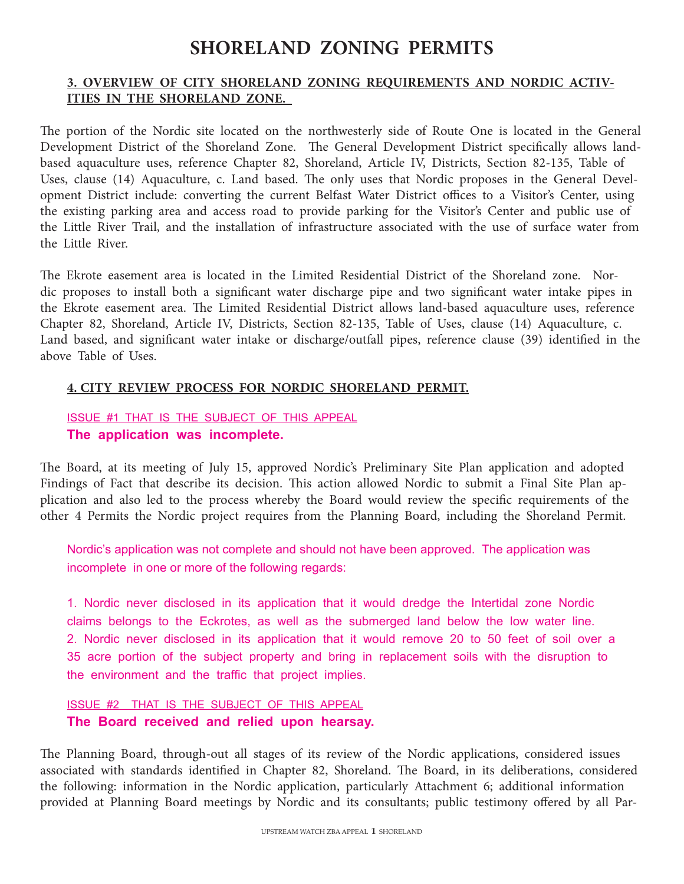# **SHORELAND ZONING PERMITS**

## **3. OVERVIEW OF CITY SHORELAND ZONING REQUIREMENTS AND NORDIC ACTIV-ITIES IN THE SHORELAND ZONE.**

The portion of the Nordic site located on the northwesterly side of Route One is located in the General Development District of the Shoreland Zone. The General Development District specifically allows landbased aquaculture uses, reference Chapter 82, Shoreland, Article IV, Districts, Section 82-135, Table of Uses, clause (14) Aquaculture, c. Land based. The only uses that Nordic proposes in the General Development District include: converting the current Belfast Water District offices to a Visitor's Center, using the existing parking area and access road to provide parking for the Visitor's Center and public use of the Little River Trail, and the installation of infrastructure associated with the use of surface water from the Little River.

The Ekrote easement area is located in the Limited Residential District of the Shoreland zone. Nordic proposes to install both a significant water discharge pipe and two significant water intake pipes in the Ekrote easement area. The Limited Residential District allows land-based aquaculture uses, reference Chapter 82, Shoreland, Article IV, Districts, Section 82-135, Table of Uses, clause (14) Aquaculture, c. Land based, and significant water intake or discharge/outfall pipes, reference clause (39) identified in the above Table of Uses.

#### **4. CITY REVIEW PROCESS FOR NORDIC SHORELAND PERMIT.**

## ISSUE #1 THAT IS THE SUBJECT OF THIS APPEAL **The application was incomplete.**

The Board, at its meeting of July 15, approved Nordic's Preliminary Site Plan application and adopted Findings of Fact that describe its decision. This action allowed Nordic to submit a Final Site Plan application and also led to the process whereby the Board would review the specific requirements of the other 4 Permits the Nordic project requires from the Planning Board, including the Shoreland Permit.

Nordic's application was not complete and should not have been approved. The application was incomplete in one or more of the following regards:

1. Nordic never disclosed in its application that it would dredge the Intertidal zone Nordic claims belongs to the Eckrotes, as well as the submerged land below the low water line. 2. Nordic never disclosed in its application that it would remove 20 to 50 feet of soil over a 35 acre portion of the subject property and bring in replacement soils with the disruption to the environment and the traffic that project implies.

ISSUE #2 THAT IS THE SUBJECT OF THIS APPEAL **The Board received and relied upon hearsay.**

The Planning Board, through-out all stages of its review of the Nordic applications, considered issues associated with standards identified in Chapter 82, Shoreland. The Board, in its deliberations, considered the following: information in the Nordic application, particularly Attachment 6; additional information provided at Planning Board meetings by Nordic and its consultants; public testimony offered by all Par-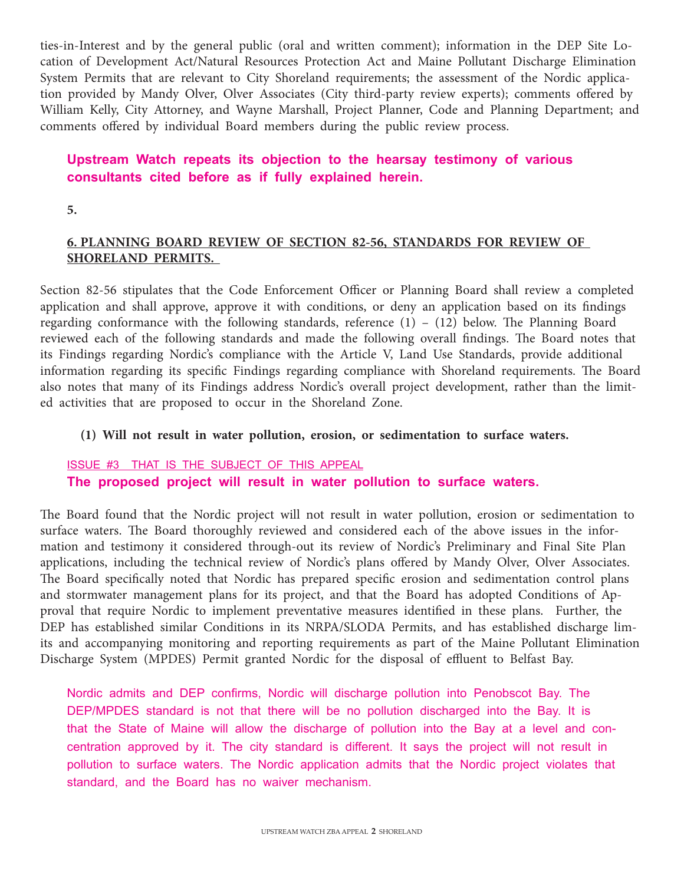ties-in-Interest and by the general public (oral and written comment); information in the DEP Site Location of Development Act/Natural Resources Protection Act and Maine Pollutant Discharge Elimination System Permits that are relevant to City Shoreland requirements; the assessment of the Nordic application provided by Mandy Olver, Olver Associates (City third-party review experts); comments offered by William Kelly, City Attorney, and Wayne Marshall, Project Planner, Code and Planning Department; and comments offered by individual Board members during the public review process.

## **Upstream Watch repeats its objection to the hearsay testimony of various consultants cited before as if fully explained herein.**

**5.** 

## **6. PLANNING BOARD REVIEW OF SECTION 82-56, STANDARDS FOR REVIEW OF SHORELAND PERMITS.**

Section 82-56 stipulates that the Code Enforcement Officer or Planning Board shall review a completed application and shall approve, approve it with conditions, or deny an application based on its findings regarding conformance with the following standards, reference (1) – (12) below. The Planning Board reviewed each of the following standards and made the following overall findings. The Board notes that its Findings regarding Nordic's compliance with the Article V, Land Use Standards, provide additional information regarding its specific Findings regarding compliance with Shoreland requirements. The Board also notes that many of its Findings address Nordic's overall project development, rather than the limited activities that are proposed to occur in the Shoreland Zone.

## **(1) Will not result in water pollution, erosion, or sedimentation to surface waters.**

## ISSUE #3 THAT IS THE SUBJECT OF THIS APPEAL **The proposed project will result in water pollution to surface waters.**

The Board found that the Nordic project will not result in water pollution, erosion or sedimentation to surface waters. The Board thoroughly reviewed and considered each of the above issues in the information and testimony it considered through-out its review of Nordic's Preliminary and Final Site Plan applications, including the technical review of Nordic's plans offered by Mandy Olver, Olver Associates. The Board specifically noted that Nordic has prepared specific erosion and sedimentation control plans and stormwater management plans for its project, and that the Board has adopted Conditions of Approval that require Nordic to implement preventative measures identified in these plans. Further, the DEP has established similar Conditions in its NRPA/SLODA Permits, and has established discharge limits and accompanying monitoring and reporting requirements as part of the Maine Pollutant Elimination Discharge System (MPDES) Permit granted Nordic for the disposal of effluent to Belfast Bay.

Nordic admits and DEP confirms, Nordic will discharge pollution into Penobscot Bay. The DEP/MPDES standard is not that there will be no pollution discharged into the Bay. It is that the State of Maine will allow the discharge of pollution into the Bay at a level and concentration approved by it. The city standard is different. It says the project will not result in pollution to surface waters. The Nordic application admits that the Nordic project violates that standard, and the Board has no waiver mechanism.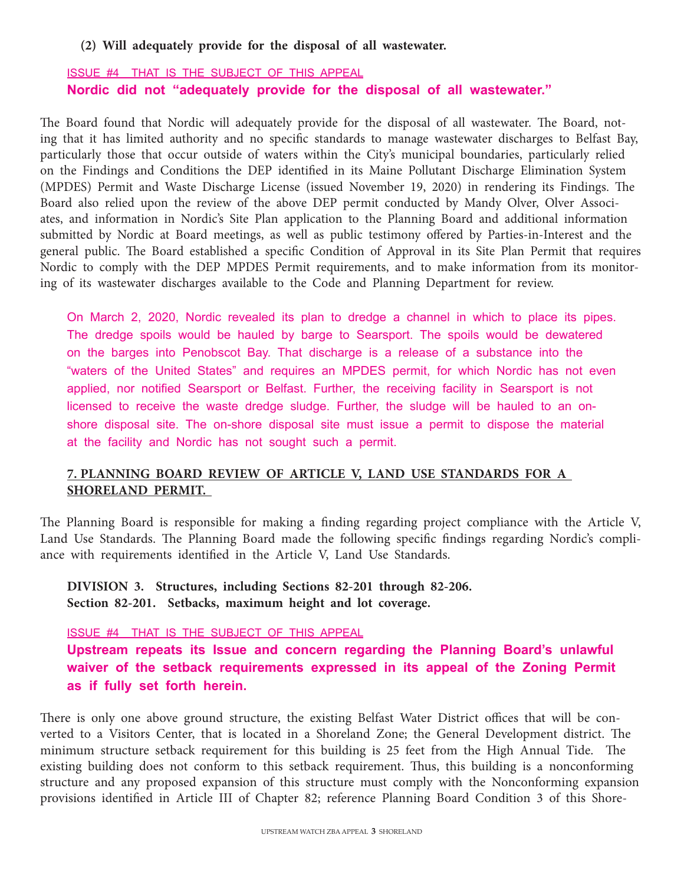#### **(2) Will adequately provide for the disposal of all wastewater.**

## ISSUE #4 THAT IS THE SUBJECT OF THIS APPEAL **Nordic did not "adequately provide for the disposal of all wastewater."**

The Board found that Nordic will adequately provide for the disposal of all wastewater. The Board, noting that it has limited authority and no specific standards to manage wastewater discharges to Belfast Bay, particularly those that occur outside of waters within the City's municipal boundaries, particularly relied on the Findings and Conditions the DEP identified in its Maine Pollutant Discharge Elimination System (MPDES) Permit and Waste Discharge License (issued November 19, 2020) in rendering its Findings. The Board also relied upon the review of the above DEP permit conducted by Mandy Olver, Olver Associates, and information in Nordic's Site Plan application to the Planning Board and additional information submitted by Nordic at Board meetings, as well as public testimony offered by Parties-in-Interest and the general public. The Board established a specific Condition of Approval in its Site Plan Permit that requires Nordic to comply with the DEP MPDES Permit requirements, and to make information from its monitoring of its wastewater discharges available to the Code and Planning Department for review.

On March 2, 2020, Nordic revealed its plan to dredge a channel in which to place its pipes. The dredge spoils would be hauled by barge to Searsport. The spoils would be dewatered on the barges into Penobscot Bay. That discharge is a release of a substance into the "waters of the United States" and requires an MPDES permit, for which Nordic has not even applied, nor notified Searsport or Belfast. Further, the receiving facility in Searsport is not licensed to receive the waste dredge sludge. Further, the sludge will be hauled to an onshore disposal site. The on-shore disposal site must issue a permit to dispose the material at the facility and Nordic has not sought such a permit.

#### **7. PLANNING BOARD REVIEW OF ARTICLE V, LAND USE STANDARDS FOR A SHORELAND PERMIT.**

The Planning Board is responsible for making a finding regarding project compliance with the Article V, Land Use Standards. The Planning Board made the following specific findings regarding Nordic's compliance with requirements identified in the Article V, Land Use Standards.

**DIVISION 3. Structures, including Sections 82-201 through 82-206. Section 82-201. Setbacks, maximum height and lot coverage.** 

ISSUE #4 THAT IS THE SUBJECT OF THIS APPEAL

**Upstream repeats its Issue and concern regarding the Planning Board's unlawful waiver of the setback requirements expressed in its appeal of the Zoning Permit as if fully set forth herein.**

There is only one above ground structure, the existing Belfast Water District offices that will be converted to a Visitors Center, that is located in a Shoreland Zone; the General Development district. The minimum structure setback requirement for this building is 25 feet from the High Annual Tide. The existing building does not conform to this setback requirement. Thus, this building is a nonconforming structure and any proposed expansion of this structure must comply with the Nonconforming expansion provisions identified in Article III of Chapter 82; reference Planning Board Condition 3 of this Shore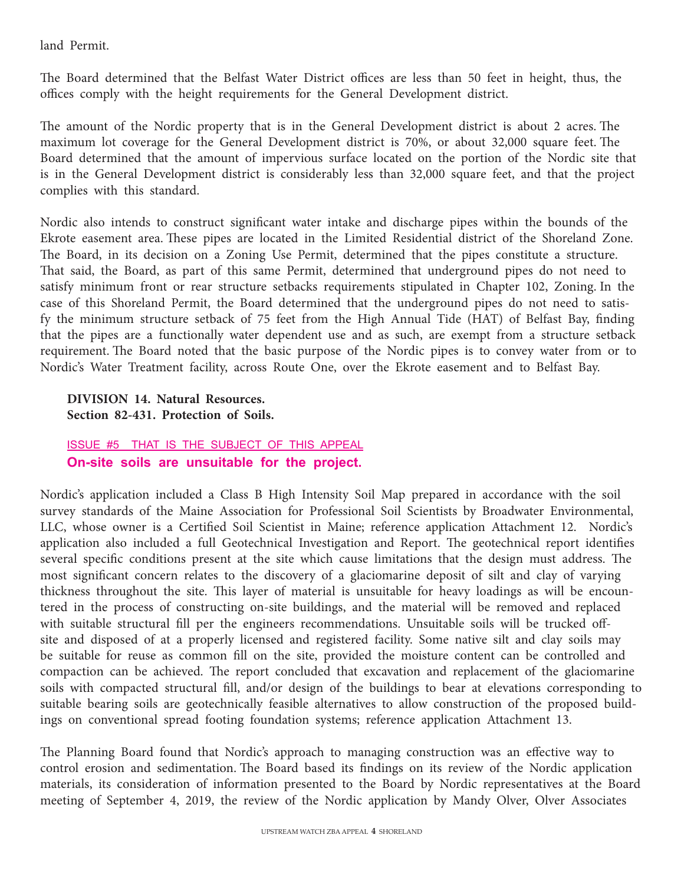land Permit.

The Board determined that the Belfast Water District offices are less than 50 feet in height, thus, the offices comply with the height requirements for the General Development district.

The amount of the Nordic property that is in the General Development district is about 2 acres. The maximum lot coverage for the General Development district is 70%, or about 32,000 square feet. The Board determined that the amount of impervious surface located on the portion of the Nordic site that is in the General Development district is considerably less than 32,000 square feet, and that the project complies with this standard.

Nordic also intends to construct significant water intake and discharge pipes within the bounds of the Ekrote easement area. These pipes are located in the Limited Residential district of the Shoreland Zone. The Board, in its decision on a Zoning Use Permit, determined that the pipes constitute a structure. That said, the Board, as part of this same Permit, determined that underground pipes do not need to satisfy minimum front or rear structure setbacks requirements stipulated in Chapter 102, Zoning. In the case of this Shoreland Permit, the Board determined that the underground pipes do not need to satisfy the minimum structure setback of 75 feet from the High Annual Tide (HAT) of Belfast Bay, finding that the pipes are a functionally water dependent use and as such, are exempt from a structure setback requirement. The Board noted that the basic purpose of the Nordic pipes is to convey water from or to Nordic's Water Treatment facility, across Route One, over the Ekrote easement and to Belfast Bay.

**DIVISION 14. Natural Resources. Section 82-431. Protection of Soils.** 

ISSUE #5 THAT IS THE SUBJECT OF THIS APPEAL **On-site soils are unsuitable for the project.**

Nordic's application included a Class B High Intensity Soil Map prepared in accordance with the soil survey standards of the Maine Association for Professional Soil Scientists by Broadwater Environmental, LLC, whose owner is a Certified Soil Scientist in Maine; reference application Attachment 12. Nordic's application also included a full Geotechnical Investigation and Report. The geotechnical report identifies several specific conditions present at the site which cause limitations that the design must address. The most significant concern relates to the discovery of a glaciomarine deposit of silt and clay of varying thickness throughout the site. This layer of material is unsuitable for heavy loadings as will be encountered in the process of constructing on-site buildings, and the material will be removed and replaced with suitable structural fill per the engineers recommendations. Unsuitable soils will be trucked offsite and disposed of at a properly licensed and registered facility. Some native silt and clay soils may be suitable for reuse as common fill on the site, provided the moisture content can be controlled and compaction can be achieved. The report concluded that excavation and replacement of the glaciomarine soils with compacted structural fill, and/or design of the buildings to bear at elevations corresponding to suitable bearing soils are geotechnically feasible alternatives to allow construction of the proposed buildings on conventional spread footing foundation systems; reference application Attachment 13.

The Planning Board found that Nordic's approach to managing construction was an effective way to control erosion and sedimentation. The Board based its findings on its review of the Nordic application materials, its consideration of information presented to the Board by Nordic representatives at the Board meeting of September 4, 2019, the review of the Nordic application by Mandy Olver, Olver Associates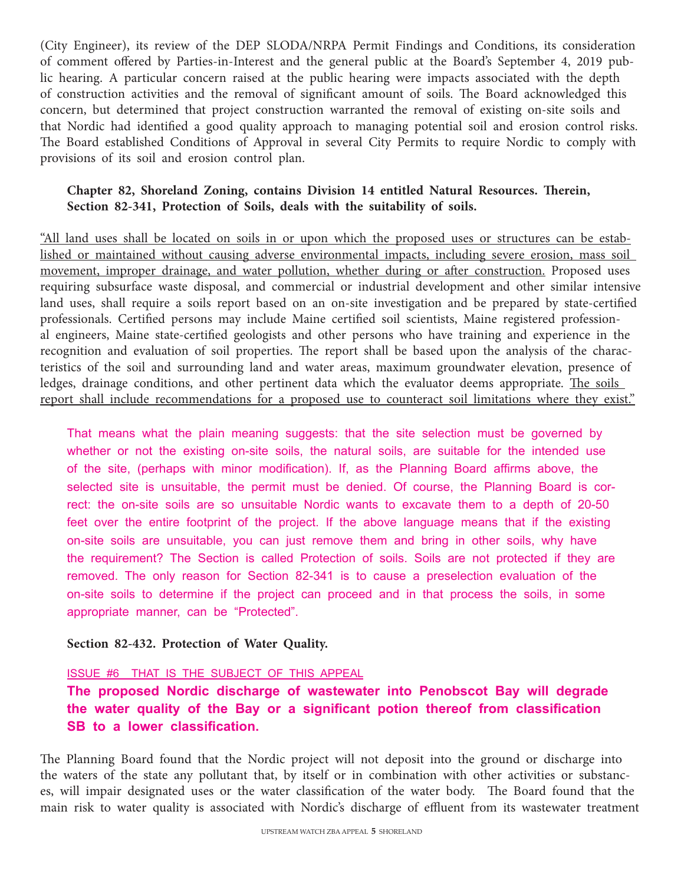(City Engineer), its review of the DEP SLODA/NRPA Permit Findings and Conditions, its consideration of comment offered by Parties-in-Interest and the general public at the Board's September 4, 2019 public hearing. A particular concern raised at the public hearing were impacts associated with the depth of construction activities and the removal of significant amount of soils. The Board acknowledged this concern, but determined that project construction warranted the removal of existing on-site soils and that Nordic had identified a good quality approach to managing potential soil and erosion control risks. The Board established Conditions of Approval in several City Permits to require Nordic to comply with provisions of its soil and erosion control plan.

## **Chapter 82, Shoreland Zoning, contains Division 14 entitled Natural Resources. Therein, Section 82-341, Protection of Soils, deals with the suitability of soils.**

"All land uses shall be located on soils in or upon which the proposed uses or structures can be established or maintained without causing adverse environmental impacts, including severe erosion, mass soil movement, improper drainage, and water pollution, whether during or after construction. Proposed uses requiring subsurface waste disposal, and commercial or industrial development and other similar intensive land uses, shall require a soils report based on an on-site investigation and be prepared by state-certified professionals. Certified persons may include Maine certified soil scientists, Maine registered professional engineers, Maine state-certified geologists and other persons who have training and experience in the recognition and evaluation of soil properties. The report shall be based upon the analysis of the characteristics of the soil and surrounding land and water areas, maximum groundwater elevation, presence of ledges, drainage conditions, and other pertinent data which the evaluator deems appropriate. The soils report shall include recommendations for a proposed use to counteract soil limitations where they exist."

That means what the plain meaning suggests: that the site selection must be governed by whether or not the existing on-site soils, the natural soils, are suitable for the intended use of the site, (perhaps with minor modification). If, as the Planning Board affirms above, the selected site is unsuitable, the permit must be denied. Of course, the Planning Board is correct: the on-site soils are so unsuitable Nordic wants to excavate them to a depth of 20-50 feet over the entire footprint of the project. If the above language means that if the existing on-site soils are unsuitable, you can just remove them and bring in other soils, why have the requirement? The Section is called Protection of soils. Soils are not protected if they are removed. The only reason for Section 82-341 is to cause a preselection evaluation of the on-site soils to determine if the project can proceed and in that process the soils, in some appropriate manner, can be "Protected".

#### **Section 82-432. Protection of Water Quality.**

#### ISSUE #6 THAT IS THE SUBJECT OF THIS APPEAL

**The proposed Nordic discharge of wastewater into Penobscot Bay will degrade the water quality of the Bay or a significant potion thereof from classification SB to a lower classification.**

The Planning Board found that the Nordic project will not deposit into the ground or discharge into the waters of the state any pollutant that, by itself or in combination with other activities or substances, will impair designated uses or the water classification of the water body. The Board found that the main risk to water quality is associated with Nordic's discharge of effluent from its wastewater treatment